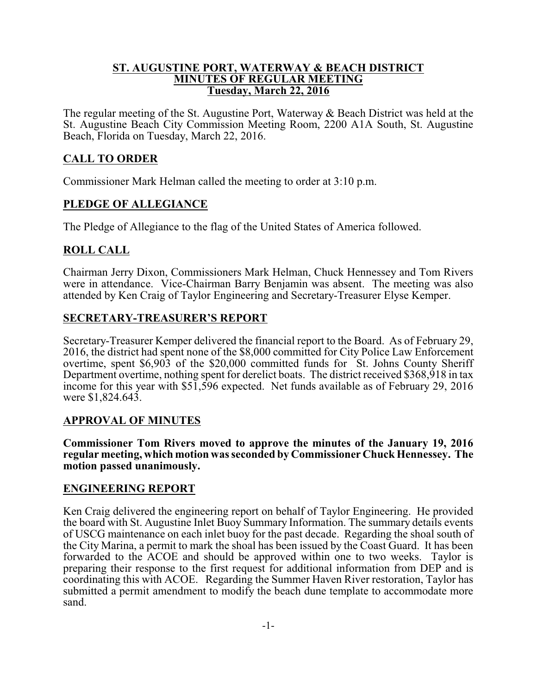#### **ST. AUGUSTINE PORT, WATERWAY & BEACH DISTRICT MINUTES OF REGULAR MEETING Tuesday, March 22, 2016**

The regular meeting of the St. Augustine Port, Waterway & Beach District was held at the St. Augustine Beach City Commission Meeting Room, 2200 A1A South, St. Augustine Beach, Florida on Tuesday, March 22, 2016.

## **CALL TO ORDER**

Commissioner Mark Helman called the meeting to order at 3:10 p.m.

### **PLEDGE OF ALLEGIANCE**

The Pledge of Allegiance to the flag of the United States of America followed.

### **ROLL CALL**

Chairman Jerry Dixon, Commissioners Mark Helman, Chuck Hennessey and Tom Rivers were in attendance. Vice-Chairman Barry Benjamin was absent. The meeting was also attended by Ken Craig of Taylor Engineering and Secretary-Treasurer Elyse Kemper.

### **SECRETARY-TREASURER'S REPORT**

Secretary-Treasurer Kemper delivered the financial report to the Board. As of February 29, 2016, the district had spent none of the \$8,000 committed for City Police Law Enforcement overtime, spent \$6,903 of the \$20,000 committed funds for St. Johns County Sheriff Department overtime, nothing spent for derelict boats. The district received \$368,918 in tax income for this year with \$51,596 expected. Net funds available as of February 29, 2016 were \$1,824.643.

### **APPROVAL OF MINUTES**

**Commissioner Tom Rivers moved to approve the minutes of the January 19, 2016 regular meeting, which motion was seconded by Commissioner Chuck Hennessey. The motion passed unanimously.**

### **ENGINEERING REPORT**

Ken Craig delivered the engineering report on behalf of Taylor Engineering. He provided the board with St. Augustine Inlet Buoy Summary Information. The summary details events of USCG maintenance on each inlet buoy for the past decade. Regarding the shoal south of the City Marina, a permit to mark the shoal has been issued by the Coast Guard. It has been forwarded to the ACOE and should be approved within one to two weeks. Taylor is preparing their response to the first request for additional information from DEP and is coordinating this with ACOE. Regarding the Summer Haven River restoration, Taylor has submitted a permit amendment to modify the beach dune template to accommodate more sand.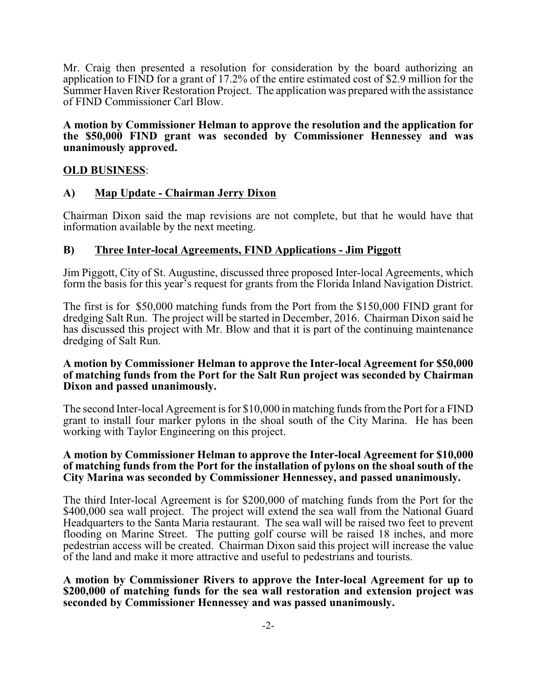Mr. Craig then presented a resolution for consideration by the board authorizing an application to FIND for a grant of 17.2% of the entire estimated cost of \$2.9 million for the Summer Haven River Restoration Project. The application was prepared with the assistance of FIND Commissioner Carl Blow.

**A motion by Commissioner Helman to approve the resolution and the application for the \$50,000 FIND grant was seconded by Commissioner Hennessey and was unanimously approved.**

### **OLD BUSINESS**:

### **A) Map Update - Chairman Jerry Dixon**

Chairman Dixon said the map revisions are not complete, but that he would have that information available by the next meeting.

### **B) Three Inter-local Agreements, FIND Applications - Jim Piggott**

Jim Piggott, City of St. Augustine, discussed three proposed Inter-local Agreements, which form the basis for this year's request for grants from the Florida Inland Navigation District.

The first is for \$50,000 matching funds from the Port from the \$150,000 FIND grant for dredging Salt Run. The project will be started in December, 2016. Chairman Dixon said he has discussed this project with Mr. Blow and that it is part of the continuing maintenance dredging of Salt Run.

#### **A motion by Commissioner Helman to approve the Inter-local Agreement for \$50,000 of matching funds from the Port for the Salt Run project was seconded by Chairman Dixon and passed unanimously.**

The second Inter-local Agreement is for \$10,000 in matching funds fromthe Port for a FIND grant to install four marker pylons in the shoal south of the City Marina. He has been working with Taylor Engineering on this project.

#### **A motion by Commissioner Helman to approve the Inter-local Agreement for \$10,000 of matching funds from the Port for the installation of pylons on the shoal south of the City Marina was seconded by Commissioner Hennessey, and passed unanimously.**

The third Inter-local Agreement is for \$200,000 of matching funds from the Port for the \$400,000 sea wall project. The project will extend the sea wall from the National Guard Headquarters to the Santa Maria restaurant. The sea wall will be raised two feet to prevent flooding on Marine Street. The putting golf course will be raised 18 inches, and more pedestrian access will be created. Chairman Dixon said this project will increase the value of the land and make it more attractive and useful to pedestrians and tourists.

**A motion by Commissioner Rivers to approve the Inter-local Agreement for up to \$200,000 of matching funds for the sea wall restoration and extension project was seconded by Commissioner Hennessey and was passed unanimously.**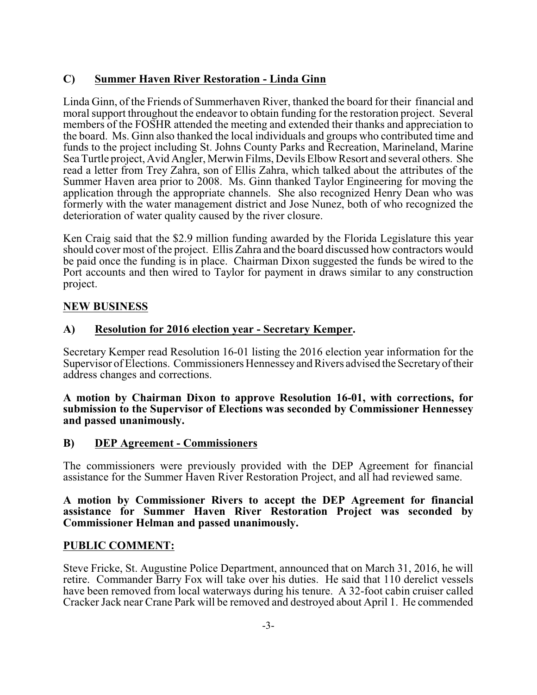# **C) Summer Haven River Restoration - Linda Ginn**

Linda Ginn, of the Friends of Summerhaven River, thanked the board for their financial and moral support throughout the endeavor to obtain funding for the restoration project. Several members of the FOSHR attended the meeting and extended their thanks and appreciation to the board. Ms. Ginn also thanked the local individuals and groups who contributed time and funds to the project including St. Johns County Parks and Recreation, Marineland, Marine Sea Turtle project, Avid Angler, Merwin Films, Devils Elbow Resort and several others. She read a letter from Trey Zahra, son of Ellis Zahra, which talked about the attributes of the Summer Haven area prior to 2008. Ms. Ginn thanked Taylor Engineering for moving the application through the appropriate channels. She also recognized Henry Dean who was formerly with the water management district and Jose Nunez, both of who recognized the deterioration of water quality caused by the river closure.

Ken Craig said that the \$2.9 million funding awarded by the Florida Legislature this year should cover most of the project. Ellis Zahra and the board discussed how contractors would be paid once the funding is in place. Chairman Dixon suggested the funds be wired to the Port accounts and then wired to Taylor for payment in draws similar to any construction project.

# **NEW BUSINESS**

# **A) Resolution for 2016 election year - Secretary Kemper.**

Secretary Kemper read Resolution 16-01 listing the 2016 election year information for the Supervisor of Elections. Commissioners Hennesseyand Rivers advised the Secretaryof their address changes and corrections.

**A motion by Chairman Dixon to approve Resolution 16-01, with corrections, for submission to the Supervisor of Elections was seconded by Commissioner Hennessey and passed unanimously.**

### **B) DEP Agreement - Commissioners**

The commissioners were previously provided with the DEP Agreement for financial assistance for the Summer Haven River Restoration Project, and all had reviewed same.

#### **A motion by Commissioner Rivers to accept the DEP Agreement for financial assistance for Summer Haven River Restoration Project was seconded by Commissioner Helman and passed unanimously.**

### **PUBLIC COMMENT:**

Steve Fricke, St. Augustine Police Department, announced that on March 31, 2016, he will retire. Commander Barry Fox will take over his duties. He said that 110 derelict vessels have been removed from local waterways during his tenure. A 32-foot cabin cruiser called Cracker Jack near Crane Park will be removed and destroyed about April 1. He commended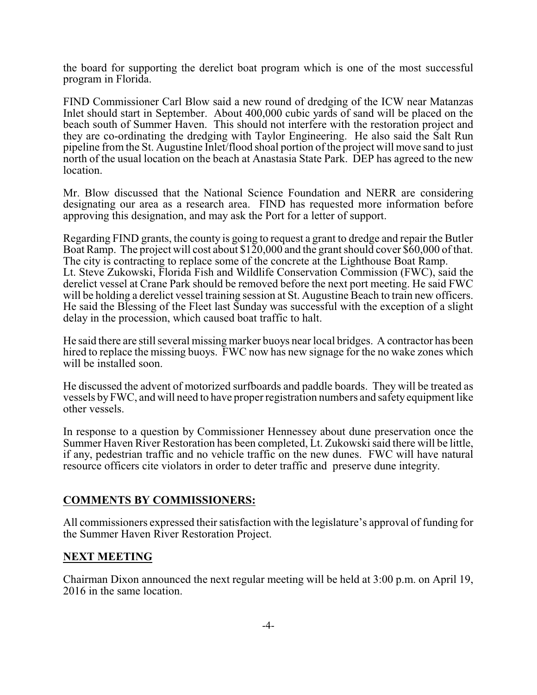the board for supporting the derelict boat program which is one of the most successful program in Florida.

FIND Commissioner Carl Blow said a new round of dredging of the ICW near Matanzas Inlet should start in September. About 400,000 cubic yards of sand will be placed on the beach south of Summer Haven. This should not interfere with the restoration project and they are co-ordinating the dredging with Taylor Engineering. He also said the Salt Run pipeline from the St. Augustine Inlet/flood shoal portion of the project will move sand to just north of the usual location on the beach at Anastasia State Park. DEP has agreed to the new location.

Mr. Blow discussed that the National Science Foundation and NERR are considering designating our area as a research area. FIND has requested more information before approving this designation, and may ask the Port for a letter of support.

Regarding FIND grants, the county is going to request a grant to dredge and repair the Butler Boat Ramp. The project will cost about \$120,000 and the grant should cover \$60,000 of that. The city is contracting to replace some of the concrete at the Lighthouse Boat Ramp. Lt. Steve Zukowski, Florida Fish and Wildlife Conservation Commission (FWC), said the derelict vessel at Crane Park should be removed before the next port meeting. He said FWC will be holding a derelict vessel training session at St. Augustine Beach to train new officers. He said the Blessing of the Fleet last Sunday was successful with the exception of a slight delay in the procession, which caused boat traffic to halt.

He said there are still several missing marker buoys near local bridges. A contractor has been hired to replace the missing buoys. FWC now has new signage for the no wake zones which will be installed soon.

He discussed the advent of motorized surfboards and paddle boards. They will be treated as vessels byFWC, and will need to have proper registration numbers and safety equipment like other vessels.

In response to a question by Commissioner Hennessey about dune preservation once the Summer Haven River Restoration has been completed, Lt. Zukowski said there will be little, if any, pedestrian traffic and no vehicle traffic on the new dunes. FWC will have natural resource officers cite violators in order to deter traffic and preserve dune integrity.

### **COMMENTS BY COMMISSIONERS:**

All commissioners expressed their satisfaction with the legislature's approval of funding for the Summer Haven River Restoration Project.

### **NEXT MEETING**

Chairman Dixon announced the next regular meeting will be held at 3:00 p.m. on April 19, 2016 in the same location.